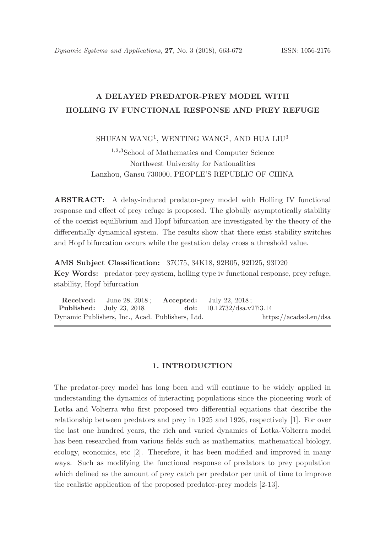# A DELAYED PREDATOR-PREY MODEL WITH HOLLING IV FUNCTIONAL RESPONSE AND PREY REFUGE

## $\rm SHUFAN~WANG^1,~WENTING~WANG^2,~AND~HUA~LUU^3$

<sup>1</sup>,2,<sup>3</sup>School of Mathematics and Computer Science Northwest University for Nationalities Lanzhou, Gansu 730000, PEOPLE'S REPUBLIC OF CHINA

ABSTRACT: A delay-induced predator-prey model with Holling IV functional response and effect of prey refuge is proposed. The globally asymptotically stability of the coexist equilibrium and Hopf bifurcation are investigated by the theory of the differentially dynamical system. The results show that there exist stability switches and Hopf bifurcation occurs while the gestation delay cross a threshold value.

AMS Subject Classification: 37C75, 34K18, 92B05, 92D25, 93D20 Key Words: predator-prey system, holling type iv functional response, prey refuge, stability, Hopf bifurcation

**Received:** June 28, 2018; **Accepted:** July 22, 2018; **Published:** July 23, 2018. doi:  $10.12732/dsa.v27i3.14$ Dynamic Publishers, Inc., Acad. Publishers, Ltd. https://acadsol.eu/dsa

### 1. INTRODUCTION

The predator-prey model has long been and will continue to be widely applied in understanding the dynamics of interacting populations since the pioneering work of Lotka and Volterra who first proposed two differential equations that describe the relationship between predators and prey in 1925 and 1926, respectively [1]. For over the last one hundred years, the rich and varied dynamics of Lotka-Volterra model has been researched from various fields such as mathematics, mathematical biology, ecology, economics, etc [2]. Therefore, it has been modified and improved in many ways. Such as modifying the functional response of predators to prey population which defined as the amount of prey catch per predator per unit of time to improve the realistic application of the proposed predator-prey models [2-13].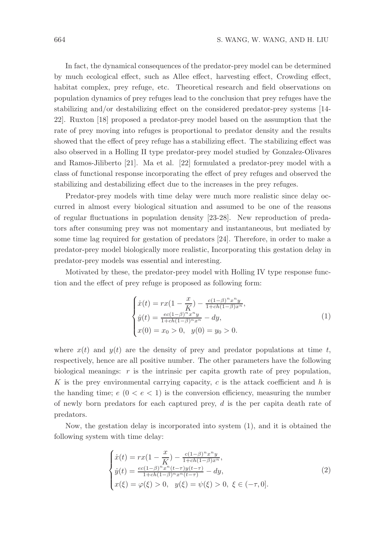In fact, the dynamical consequences of the predator-prey model can be determined by much ecological effect, such as Allee effect, harvesting effect, Crowding effect, habitat complex, prey refuge, etc. Theoretical research and field observations on population dynamics of prey refuges lead to the conclusion that prey refuges have the stabilizing and/or destabilizing effect on the considered predator-prey systems [14- 22]. Ruxton [18] proposed a predator-prey model based on the assumption that the rate of prey moving into refuges is proportional to predator density and the results showed that the effect of prey refuge has a stabilizing effect. The stabilizing effect was also observed in a Holling II type predator-prey model studied by Gonzalez-Olivares and Ramos-Jiliberto [21]. Ma et al. [22] formulated a predator-prey model with a class of functional response incorporating the effect of prey refuges and observed the stabilizing and destabilizing effect due to the increases in the prey refuges.

Predator-prey models with time delay were much more realistic since delay occurred in almost every biological situation and assumed to be one of the reasons of regular fluctuations in population density [23-28]. New reproduction of predators after consuming prey was not momentary and instantaneous, but mediated by some time lag required for gestation of predators [24]. Therefore, in order to make a predator-prey model biologically more realistic, Incorporating this gestation delay in predator-prey models was essential and interesting.

Motivated by these, the predator-prey model with Holling IV type response function and the effect of prey refuge is proposed as following form:

$$
\begin{cases}\n\dot{x}(t) = rx(1 - \frac{x}{K}) - \frac{c(1-\beta)^n x^n y}{1 + ch(1-\beta)x^n}, \\
\dot{y}(t) = \frac{ec(1-\beta)^n x^n y}{1 + ch(1-\beta)^n x^n} - dy, \\
x(0) = x_0 > 0, \quad y(0) = y_0 > 0.\n\end{cases}
$$
\n(1)

where  $x(t)$  and  $y(t)$  are the density of prey and predator populations at time t, respectively, hence are all positive number. The other parameters have the following biological meanings:  $r$  is the intrinsic per capita growth rate of prey population, K is the prey environmental carrying capacity,  $c$  is the attack coefficient and  $h$  is the handing time;  $e (0 < e < 1)$  is the conversion efficiency, measuring the number of newly born predators for each captured prey, d is the per capita death rate of predators.

Now, the gestation delay is incorporated into system (1), and it is obtained the following system with time delay:

$$
\begin{cases}\n\dot{x}(t) = rx(1 - \frac{x}{K}) - \frac{c(1-\beta)^n x^n y}{1 + ch(1-\beta)x^n}, \\
\dot{y}(t) = \frac{ec(1-\beta)^n x^n (t-\tau) y(t-\tau)}{1 + ch(1-\beta)^n x^n (t-\tau)} - dy, \\
x(\xi) = \varphi(\xi) > 0, \quad y(\xi) = \psi(\xi) > 0, \quad \xi \in (-\tau, 0].\n\end{cases}
$$
\n(2)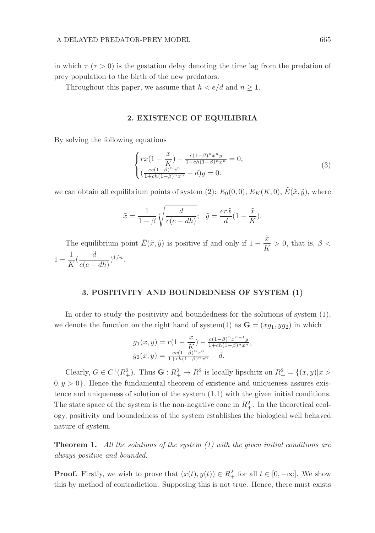in which  $\tau (\tau > 0)$  is the gestation delay denoting the time lag from the predation of prey population to the birth of the new predators.

Throughout this paper, we assume that  $h < e/d$  and  $n \geq 1$ .

#### 2. EXISTENCE OF EQUILIBRIA

By solving the following equations

$$
\begin{cases}\nrx(1 - \frac{x}{K}) - \frac{c(1-\beta)^n x^n y}{1 + ch(1-\beta)^n x^n} = 0, \\
(\frac{ec(1-\beta)^n x^n}{1 + ch(1-\beta)^n x^n} - d)y = 0.\n\end{cases} \tag{3}
$$

we can obtain all equilibrium points of system (2):  $E_0(0,0)$ ,  $E_K(K,0)$ ,  $\tilde{E}(\tilde{x}, \tilde{y})$ , where

$$
\tilde{x} = \frac{1}{1-\beta} \sqrt[n]{\frac{d}{c(e-dh)}}; \quad \tilde{y} = \frac{er\tilde{x}}{d} (1 - \frac{\tilde{x}}{K}).
$$

The equilibrium point  $\tilde{E}(\tilde{x}, \tilde{y})$  is positive if and only if  $1 - \frac{\tilde{x}}{V}$  $\frac{x}{K} > 0$ , that is,  $\beta <$  $1 - \frac{1}{\nu}$  $\frac{1}{K}(\frac{d}{c(e-1)})$  $\frac{a}{c(e - dh)}\big)^{1/n}.$ 

## 3. POSITIVITY AND BOUNDEDNESS OF SYSTEM (1)

In order to study the positivity and boundedness for the solutions of system (1), we denote the function on the right hand of system(1) as  $\mathbf{G} = (xg_1, yg_2)$  in which

$$
g_1(x,y) = r\left(1 - \frac{x}{K}\right) - \frac{c(1-\beta)^n x^{n-1} y}{1 + ch(1-\beta)^n x^n},
$$
  

$$
g_2(x,y) = \frac{ec(1-\beta)^n x^n}{1 + ch(1-\beta)^n x^n} - d.
$$

Clearly,  $G \in C^1(R_+^2)$ . Thus  $\mathbf{G} : R_+^2 \to R^2$  is locally lipschitz on  $R_+^2 = \{(x, y) | x >$  $0, y > 0$ . Hence the fundamental theorem of existence and uniqueness assures existence and uniqueness of solution of the system (1.1) with the given initial conditions. The state space of the system is the non-negative cone in  $R_+^2$ . In the theoretical ecology, positivity and boundedness of the system establishes the biological well behaved nature of system.

**Theorem 1.** All the solutions of the system  $(1)$  with the given initial conditions are always positive and bounded.

**Proof.** Firstly, we wish to prove that  $(x(t), y(t)) \in R_+^2$  for all  $t \in [0, +\infty]$ . We show this by method of contradiction. Supposing this is not true. Hence, there must exists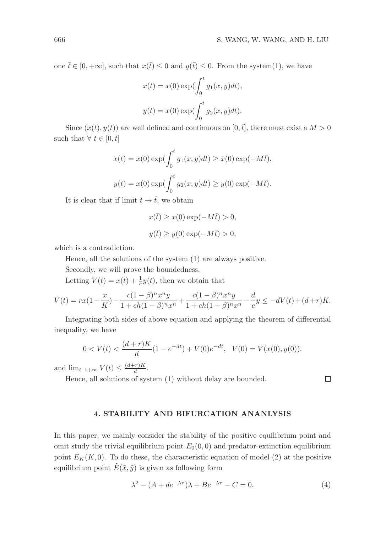one  $\bar{t} \in [0, +\infty]$ , such that  $x(\bar{t}) \leq 0$  and  $y(\bar{t}) \leq 0$ . From the system(1), we have

$$
x(t) = x(0) \exp(\int_0^t g_1(x, y) dt),
$$
  

$$
y(t) = x(0) \exp(\int_0^t g_2(x, y) dt).
$$

Since  $(x(t), y(t))$  are well defined and continuous on  $[0, \bar{t}]$ , there must exist a  $M > 0$ such that  $\forall t \in [0, \bar{t}]$ 

$$
x(t) = x(0) \exp\left(\int_0^t g_1(x, y) dt\right) \ge x(0) \exp(-M\overline{t}),
$$
  

$$
y(t) = x(0) \exp\left(\int_0^t g_2(x, y) dt\right) \ge y(0) \exp(-M\overline{t}).
$$

It is clear that if limit  $t \to \overline{t}$ , we obtain

$$
x(\bar{t}) \ge x(0) \exp(-M\bar{t}) > 0,
$$
  

$$
y(\bar{t}) \ge y(0) \exp(-M\bar{t}) > 0,
$$

which is a contradiction.

Hence, all the solutions of the system (1) are always positive.

Secondly, we will prove the boundedness.

Letting  $V(t) = x(t) + \frac{1}{e}y(t)$ , then we obtain that

$$
\dot{V}(t)=rx(1-\frac{x}{K})-\frac{c(1-\beta)^nx^ny}{1+ch(1-\beta)^nx^n}+\frac{c(1-\beta)^nx^ny}{1+ch(1-\beta)^nx^n}-\frac{d}{c}y\leq -dV(t)+(d+r)K.
$$

Integrating both sides of above equation and applying the theorem of differential inequality, we have

$$
0 < V(t) < \frac{(d+r)K}{d}(1 - e^{-dt}) + V(0)e^{-dt}, \quad V(0) = V(x(0), y(0)).
$$

and  $\lim_{t\to+\infty}V(t)\leq \frac{(d+r)K}{d}$  $rac{r_{\parallel}R}{d}$ .

Hence, all solutions of system (1) without delay are bounded.

#### 4. STABILITY AND BIFURCATION ANANLYSIS

In this paper, we mainly consider the stability of the positive equilibrium point and omit study the trivial equilibrium point  $E_0(0,0)$  and predator-extinction equilibrium point  $E_K(K, 0)$ . To do these, the characteristic equation of model (2) at the positive equilibrium point  $\tilde{E}(\tilde{x}, \tilde{y})$  is given as following form

$$
\lambda^2 - (A + de^{-\lambda \tau})\lambda + Be^{-\lambda \tau} - C = 0.
$$
 (4)

 $\Box$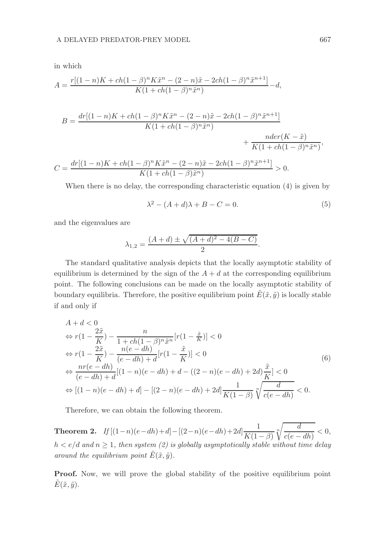in which

$$
A=\frac{r[(1-n)K + ch(1-\beta)^nK\tilde{x}^n - (2-n)\tilde{x} - 2ch(1-\beta)^n\tilde{x}^{n+1}]}{K(1+ch(1-\beta)^n\tilde{x}^n)}-d,
$$

$$
B = \frac{dr[(1-n)K + ch(1-\beta)^n K\tilde{x}^n - (2-n)\tilde{x} - 2ch(1-\beta)^n \tilde{x}^{n+1}]}{K(1+ch(1-\beta)^n \tilde{x}^n)} + \frac{nder(K-\tilde{x})}{K(1+ch(1-\beta)^n \tilde{x}^n)},
$$
  

$$
C = \frac{dr[(1-n)K + ch(1-\beta)^n K\tilde{x}^n - (2-n)\tilde{x} - 2ch(1-\beta)^n \tilde{x}^{n+1}]}{K(1+ch(1-\beta)\tilde{x}^n)} > 0.
$$

When there is no delay, the corresponding characteristic equation (4) is given by

$$
\lambda^2 - (A + d)\lambda + B - C = 0. \tag{5}
$$

and the eigenvalues are

$$
\lambda_{1,2} = \frac{(A+d) \pm \sqrt{(A+d)^2 - 4(B-C)}}{2}.
$$

The standard qualitative analysis depicts that the locally asymptotic stability of equilibrium is determined by the sign of the  $A + d$  at the corresponding equilibrium point. The following conclusions can be made on the locally asymptotic stability of boundary equilibria. Therefore, the positive equilibrium point  $\tilde{E}(\tilde{x}, \tilde{y})$  is locally stable if and only if

$$
A + d < 0
$$
  
\n
$$
\Leftrightarrow r(1 - \frac{2\tilde{x}}{K}) - \frac{n}{1 + ch(1 - \beta)^n \tilde{x}^n} [r(1 - \frac{\tilde{x}}{K})] < 0
$$
  
\n
$$
\Leftrightarrow r(1 - \frac{2\tilde{x}}{K}) - \frac{n(e - dh)}{(e - dh) + d} [r(1 - \frac{\tilde{x}}{K})] < 0
$$
  
\n
$$
\Leftrightarrow \frac{nr(e - dh)}{(e - dh) + d} [(1 - n)(e - dh) + d - ((2 - n)(e - dh) + 2d) \frac{\tilde{x}}{K}] < 0
$$
  
\n
$$
\Leftrightarrow [(1 - n)(e - dh) + d] - [(2 - n)(e - dh) + 2d] \frac{1}{K(1 - \beta)} \sqrt[n]{\frac{d}{c(e - dh)}} < 0.
$$
\n(6)

Therefore, we can obtain the following theorem.

**Theorem 2.** If  $[(1-n)(e-dh)+d] - [(2-n)(e-dh)+2d]$  $\frac{1}{K(1-\beta)}\sqrt[n]{\frac{d}{c(e-\beta)}}$  $\frac{a}{c(e - dh)} < 0,$  $h < e/d$  and  $n \geq 1$ , then system (2) is globally asymptotically stable without time delay around the equilibrium point  $\tilde{E}(\tilde{x}, \tilde{y})$ .

Proof. Now, we will prove the global stability of the positive equilibrium point  $\tilde{E}(\tilde{x}, \tilde{y}).$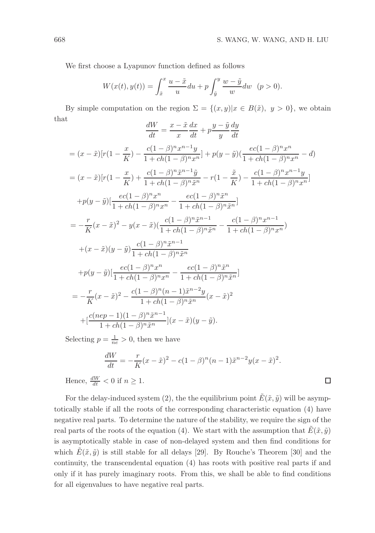We first choose a Lyapunov function defined as follows

$$
W(x(t), y(t)) = \int_{\tilde{x}}^{x} \frac{u - \tilde{x}}{u} du + p \int_{\tilde{y}}^{y} \frac{w - \tilde{y}}{w} dw \quad (p > 0).
$$

By simple computation on the region  $\Sigma = \{(x, y)|x \in B(\tilde{x}), y > 0\}$ , we obtain that

$$
\frac{dW}{dt} = \frac{x - \tilde{x}}{x}\frac{dx}{dt} + p\frac{y - \tilde{y}}{y}\frac{dy}{dt}
$$

$$
= (x - \tilde{x})[r(1 - \frac{x}{K}) - \frac{c(1 - \beta)^n x^{n-1}y}{1 + ch(1 - \beta)^n x^n}] + p(y - \tilde{y})(\frac{ec(1 - \beta)^n x^n}{1 + ch(1 - \beta)^n x^n} - d)
$$
  
\n
$$
= (x - \tilde{x})[r(1 - \frac{x}{K}) + \frac{c(1 - \beta)^n \tilde{x}^{n-1} \tilde{y}}{1 + ch(1 - \beta)^n \tilde{x}^n} - r(1 - \frac{\tilde{x}}{K}) - \frac{c(1 - \beta)^n x^{n-1}y}{1 + ch(1 - \beta)^n x^n}]
$$
  
\n
$$
+ p(y - \tilde{y})[\frac{ec(1 - \beta)^n x^n}{1 + ch(1 - \beta)^n x^n} - \frac{ec(1 - \beta)^n \tilde{x}^n}{1 + ch(1 - \beta)^n \tilde{x}^n}]
$$
  
\n
$$
= -\frac{r}{K}(x - \tilde{x})^2 - y(x - \tilde{x})(\frac{c(1 - \beta)^n \tilde{x}^{n-1}}{1 + ch(1 - \beta)^n \tilde{x}^n} - \frac{c(1 - \beta)^n x^{n-1}}{1 + ch(1 - \beta)^n x^n})
$$
  
\n
$$
+ (x - \tilde{x})(y - \tilde{y})\frac{c(1 - \beta)^n \tilde{x}^{n-1}}{1 + ch(1 - \beta)^n \tilde{x}^n}
$$
  
\n
$$
+ p(y - \tilde{y})[\frac{ec(1 - \beta)^n x^n}{1 + ch(1 - \beta)^n x^n} - \frac{ec(1 - \beta)^n \tilde{x}^n}{1 + ch(1 - \beta)^n \tilde{x}^n}]
$$
  
\n
$$
= -\frac{r}{K}(x - \tilde{x})^2 - \frac{c(1 - \beta)^n (n - 1) \tilde{x}^{n-2}y}{1 + ch(1 - \beta)^n \tilde{x}^n}(x - \tilde{x})^2
$$
  
\n
$$
+ [\frac{c(nep - 1)(1 - \beta)^n \tilde{x}^{n-1}}{1 + ch(1 - \beta)^n \tilde{x}^n}](x - \tilde{x})(y - \tilde{y}).
$$

Selecting  $p = \frac{1}{ne} > 0$ , then we have

$$
\frac{dW}{dt} = -\frac{r}{K}(x - \tilde{x})^2 - c(1 - \beta)^n(n - 1)\tilde{x}^{n-2}y(x - \tilde{x})^2.
$$
  
  $\leq C_1$  if  $n > 1$ 

Hence,  $\frac{dW}{dt} < 0$  if  $n \geq 1$ .

For the delay-induced system (2), the the equilibrium point  $\tilde{E}(\tilde{x}, \tilde{y})$  will be asymptotically stable if all the roots of the corresponding characteristic equation (4) have negative real parts. To determine the nature of the stability, we require the sign of the real parts of the roots of the equation (4). We start with the assumption that  $\tilde{E}(\tilde{x}, \tilde{y})$ is asymptotically stable in case of non-delayed system and then find conditions for which  $E(\tilde{x}, \tilde{y})$  is still stable for all delays [29]. By Rouche's Theorem [30] and the continuity, the transcendental equation (4) has roots with positive real parts if and only if it has purely imaginary roots. From this, we shall be able to find conditions for all eigenvalues to have negative real parts.

 $\Box$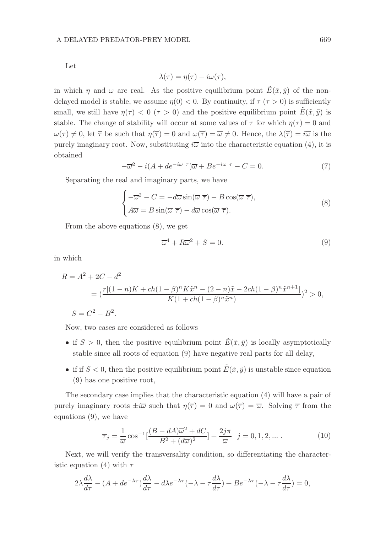Let

$$
\lambda(\tau) = \eta(\tau) + i\omega(\tau),
$$

in which  $\eta$  and  $\omega$  are real. As the positive equilibrium point  $E(\tilde{x}, \tilde{y})$  of the nondelayed model is stable, we assume  $\eta(0) < 0$ . By continuity, if  $\tau(\tau > 0)$  is sufficiently small, we still have  $\eta(\tau) < 0$  ( $\tau > 0$ ) and the positive equilibrium point  $\tilde{E}(\tilde{x}, \tilde{y})$  is stable. The change of stability will occur at some values of  $\tau$  for which  $\eta(\tau) = 0$  and  $\omega(\tau) \neq 0$ , let  $\overline{\tau}$  be such that  $\eta(\overline{\tau}) = 0$  and  $\omega(\overline{\tau}) = \overline{\omega} \neq 0$ . Hence, the  $\lambda(\overline{\tau}) = i\overline{\omega}$  is the purely imaginary root. Now, substituting  $i\overline{\omega}$  into the characteristic equation (4), it is obtained

$$
-\overline{\omega}^2 - i(A + de^{-i\overline{\omega}\overline{\tau}})\overline{\omega} + Be^{-i\overline{\omega}\overline{\tau}} - C = 0.
$$
 (7)

Separating the real and imaginary parts, we have

$$
\begin{cases}\n-\overline{\omega}^2 - C = -d\overline{\omega}\sin(\overline{\omega}\,\overline{\tau}) - B\cos(\overline{\omega}\,\overline{\tau}),\\
A\overline{\omega} = B\sin(\overline{\omega}\,\overline{\tau}) - d\overline{\omega}\cos(\overline{\omega}\,\overline{\tau}).\n\end{cases} \tag{8}
$$

From the above equations (8), we get

$$
\overline{\omega}^4 + R\overline{\omega}^2 + S = 0. \tag{9}
$$

in which

$$
R = A2 + 2C - d2
$$
  
=  $(\frac{r[(1-n)K + ch(1-\beta)^n K\tilde{x}^n - (2-n)\tilde{x} - 2ch(1-\beta)^n \tilde{x}^{n+1}]}{K(1 + ch(1-\beta)^n \tilde{x}^n)})^2 > 0,$   

$$
S = C2 - B2.
$$

Now, two cases are considered as follows

- if  $S > 0$ , then the positive equilibrium point  $\tilde{E}(\tilde{x}, \tilde{y})$  is locally asymptotically stable since all roots of equation (9) have negative real parts for all delay,
- if if  $S < 0$ , then the positive equilibrium point  $\tilde{E}(\tilde{x}, \tilde{y})$  is unstable since equation (9) has one positive root,

The secondary case implies that the characteristic equation (4) will have a pair of purely imaginary roots  $\pm i\overline{\omega}$  such that  $\eta(\overline{\tau}) = 0$  and  $\omega(\overline{\tau}) = \overline{\omega}$ . Solving  $\overline{\tau}$  from the equations (9), we have

$$
\overline{\tau}_j = \frac{1}{\overline{\omega}} \cos^{-1} \left[ \frac{(B - dA)\overline{\omega}^2 + dC}{B^2 + (d\overline{\omega})^2} \right] + \frac{2j\pi}{\overline{\omega}} \quad j = 0, 1, 2, \dots \,. \tag{10}
$$

Next, we will verify the transversality condition, so differentiating the characteristic equation (4) with  $\tau$ 

$$
2\lambda \frac{d\lambda}{d\tau} - (A + de^{-\lambda \tau}) \frac{d\lambda}{d\tau} - d\lambda e^{-\lambda \tau} (-\lambda - \tau \frac{d\lambda}{d\tau}) + Be^{-\lambda \tau} (-\lambda - \tau \frac{d\lambda}{d\tau}) = 0,
$$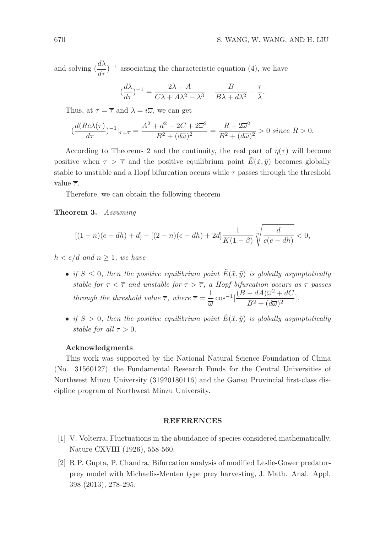.

and solving  $\left(\frac{d\lambda}{d\tau}\right)^{-1}$  associating the characteristic equation (4), we have

$$
\left(\frac{d\lambda}{d\tau}\right)^{-1} = \frac{2\lambda - A}{C\lambda + A\lambda^2 - \lambda^3} - \frac{B}{B\lambda + d\lambda^2} - \frac{\tau}{\lambda}
$$

Thus, at  $\tau = \overline{\tau}$  and  $\lambda = i\overline{\omega}$ , we can get

$$
(\frac{d(Re\lambda(\tau))}{d\tau})^{-1}|_{\tau=\overline{\tau}}=\frac{A^2+d^2-2C+2\overline{\omega}^2}{B^2+(d\overline{\omega})^2}=\frac{R+2\overline{\omega}^2}{B^2+(d\overline{\omega})^2}>0\; since\;R>0.
$$

According to Theorems 2 and the continuity, the real part of  $\eta(\tau)$  will become positive when  $\tau > \overline{\tau}$  and the positive equilibrium point  $E(\tilde{x}, \tilde{y})$  becomes globally stable to unstable and a Hopf bifurcation occurs while  $\tau$  passes through the threshold value  $\overline{\tau}$ .

Therefore, we can obtain the following theorem

Theorem 3. Assuming

$$
[(1-n)(e-dh)+d] - [(2-n)(e-dh)+2d] \frac{1}{K(1-\beta)} \sqrt[n]{\frac{d}{c(e-dh)}} < 0,
$$

 $h < e/d$  and  $n \geq 1$ , we have

- if  $S \leq 0$ , then the positive equilibrium point  $\tilde{E}(\tilde{x}, \tilde{y})$  is globally asymptotically stable for  $\tau < \overline{\tau}$  and unstable for  $\tau > \overline{\tau}$ , a Hopf bifurcation occurs as  $\tau$  passes through the threshold value  $\overline{\tau}$ , where  $\overline{\tau} = \frac{1}{\overline{\tau}}$  $\frac{1}{\omega}\cos^{-1}\left[\frac{(B-dA)\overline{\omega}^2+dC}{B^2+(d\overline{\omega})^2}\right]$  $\frac{a+1)\alpha + a\epsilon}{B^2 + (d\overline{\omega})^2}$ .
- if  $S > 0$ , then the positive equilibrium point  $\tilde{E}(\tilde{x}, \tilde{y})$  is globally asymptotically stable for all  $\tau > 0$ .

#### Acknowledgments

This work was supported by the National Natural Science Foundation of China (No. 31560127), the Fundamental Research Funds for the Central Universities of Northwest Minzu University (31920180116) and the Gansu Provincial first-class discipline program of Northwest Minzu University.

#### **REFERENCES**

- [1] V. Volterra, Fluctuations in the abundance of species considered mathematically, Nature CXVIII (1926), 558-560.
- [2] R.P. Gupta, P. Chandra, Bifurcation analysis of modified Leslie-Gower predatorprey model with Michaelis-Menten type prey harvesting, J. Math. Anal. Appl. 398 (2013), 278-295.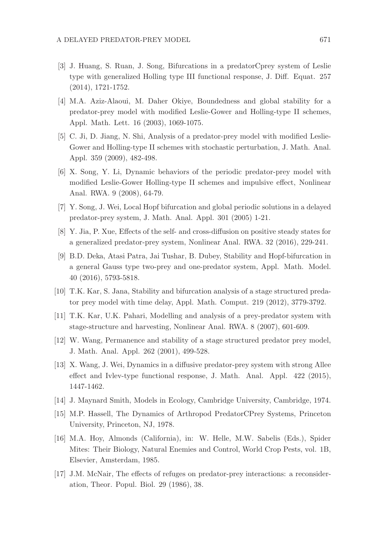- [3] J. Huang, S. Ruan, J. Song, Bifurcations in a predatorCprey system of Leslie type with generalized Holling type III functional response, J. Diff. Equat. 257 (2014), 1721-1752.
- [4] M.A. Aziz-Alaoui, M. Daher Okiye, Boundedness and global stability for a predator-prey model with modified Leslie-Gower and Holling-type II schemes, Appl. Math. Lett. 16 (2003), 1069-1075.
- [5] C. Ji, D. Jiang, N. Shi, Analysis of a predator-prey model with modified Leslie-Gower and Holling-type II schemes with stochastic perturbation, J. Math. Anal. Appl. 359 (2009), 482-498.
- [6] X. Song, Y. Li, Dynamic behaviors of the periodic predator-prey model with modified Leslie-Gower Holling-type II schemes and impulsive effect, Nonlinear Anal. RWA. 9 (2008), 64-79.
- [7] Y. Song, J. Wei, Local Hopf bifurcation and global periodic solutions in a delayed predator-prey system, J. Math. Anal. Appl. 301 (2005) 1-21.
- [8] Y. Jia, P. Xue, Effects of the self- and cross-diffusion on positive steady states for a generalized predator-prey system, Nonlinear Anal. RWA. 32 (2016), 229-241.
- [9] B.D. Deka, Atasi Patra, Jai Tushar, B. Dubey, Stability and Hopf-bifurcation in a general Gauss type two-prey and one-predator system, Appl. Math. Model. 40 (2016), 5793-5818.
- [10] T.K. Kar, S. Jana, Stability and bifurcation analysis of a stage structured predator prey model with time delay, Appl. Math. Comput. 219 (2012), 3779-3792.
- [11] T.K. Kar, U.K. Pahari, Modelling and analysis of a prey-predator system with stage-structure and harvesting, Nonlinear Anal. RWA. 8 (2007), 601-609.
- [12] W. Wang, Permanence and stability of a stage structured predator prey model, J. Math. Anal. Appl. 262 (2001), 499-528.
- [13] X. Wang, J. Wei, Dynamics in a diffusive predator-prey system with strong Allee effect and Ivlev-type functional response, J. Math. Anal. Appl. 422 (2015), 1447-1462.
- [14] J. Maynard Smith, Models in Ecology, Cambridge University, Cambridge, 1974.
- [15] M.P. Hassell, The Dynamics of Arthropod PredatorCPrey Systems, Princeton University, Princeton, NJ, 1978.
- [16] M.A. Hoy, Almonds (California), in: W. Helle, M.W. Sabelis (Eds.), Spider Mites: Their Biology, Natural Enemies and Control, World Crop Pests, vol. 1B, Elsevier, Amsterdam, 1985.
- [17] J.M. McNair, The effects of refuges on predator-prey interactions: a reconsideration, Theor. Popul. Biol. 29 (1986), 38.